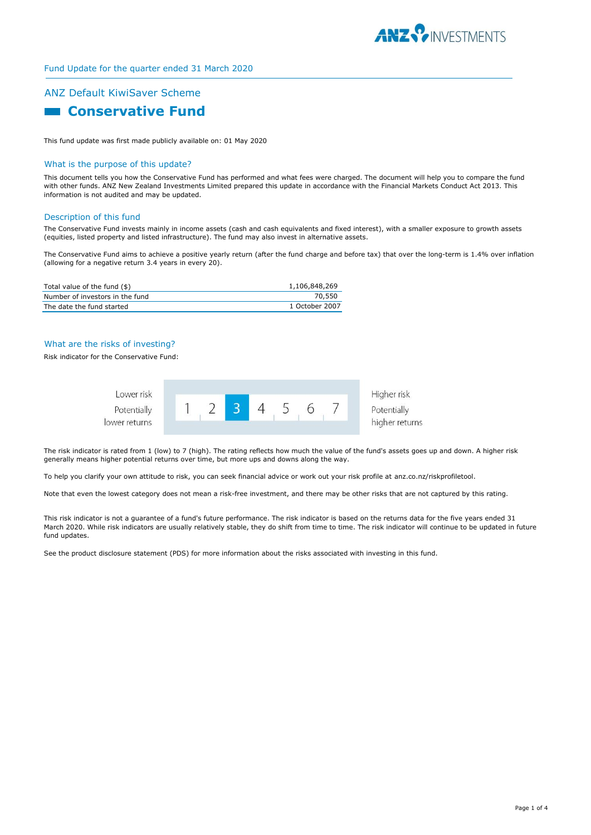

# ANZ Default KiwiSaver Scheme

# **Conservative Fund**

This fund update was first made publicly available on: 01 May 2020

## What is the purpose of this update?

This document tells you how the Conservative Fund has performed and what fees were charged. The document will help you to compare the fund with other funds. ANZ New Zealand Investments Limited prepared this update in accordance with the Financial Markets Conduct Act 2013. This information is not audited and may be updated.

### Description of this fund

The Conservative Fund invests mainly in income assets (cash and cash equivalents and fixed interest), with a smaller exposure to growth assets (equities, listed property and listed infrastructure). The fund may also invest in alternative assets.

The Conservative Fund aims to achieve a positive yearly return (after the fund charge and before tax) that over the long-term is 1.4% over inflation (allowing for a negative return 3.4 years in every 20).

| Total value of the fund (\$)    | 1,106,848,269  |
|---------------------------------|----------------|
| Number of investors in the fund | 70.550         |
| The date the fund started       | 1 October 2007 |

## What are the risks of investing?

Risk indicator for the Conservative Fund:



The risk indicator is rated from 1 (low) to 7 (high). The rating reflects how much the value of the fund's assets goes up and down. A higher risk generally means higher potential returns over time, but more ups and downs along the way.

To help you clarify your own attitude to risk, you can seek financial advice or work out your risk profile at anz.co.nz/riskprofiletool.

Note that even the lowest category does not mean a risk-free investment, and there may be other risks that are not captured by this rating.

This risk indicator is not a guarantee of a fund's future performance. The risk indicator is based on the returns data for the five years ended 31 March 2020. While risk indicators are usually relatively stable, they do shift from time to time. The risk indicator will continue to be updated in future fund updates.

See the product disclosure statement (PDS) for more information about the risks associated with investing in this fund.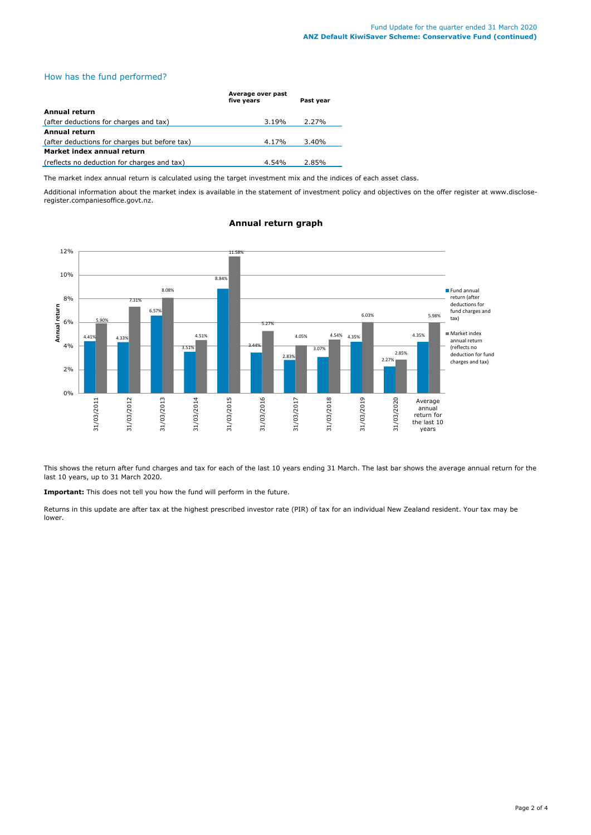## How has the fund performed?

|                                               | Average over past<br>five years | Past year |
|-----------------------------------------------|---------------------------------|-----------|
| Annual return                                 |                                 |           |
| (after deductions for charges and tax)        | 3.19%                           | 2.27%     |
| Annual return                                 |                                 |           |
| (after deductions for charges but before tax) | 4.17%                           | 3.40%     |
| Market index annual return                    |                                 |           |
| (reflects no deduction for charges and tax)   | $4.54\%$                        | 2.85%     |

The market index annual return is calculated using the target investment mix and the indices of each asset class.

Additional information about the market index is available in the statement of investment policy and objectives on the offer register at www.discloseregister.companiesoffice.govt.nz.



# **Annual return graph**

This shows the return after fund charges and tax for each of the last 10 years ending 31 March. The last bar shows the average annual return for the last 10 years, up to 31 March 2020.

**Important:** This does not tell you how the fund will perform in the future.

Returns in this update are after tax at the highest prescribed investor rate (PIR) of tax for an individual New Zealand resident. Your tax may be lower.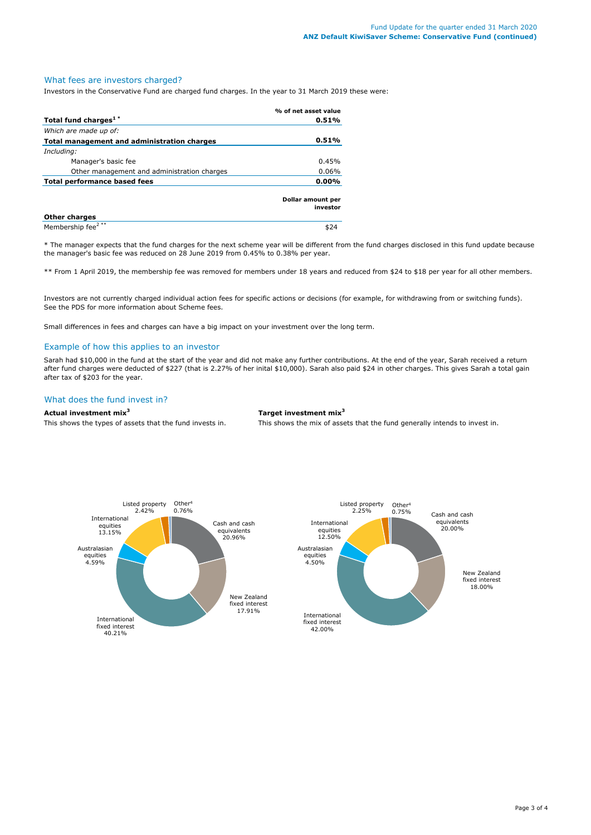## What fees are investors charged?

Investors in the Conservative Fund are charged fund charges. In the year to 31 March 2019 these were:

|                                             | % of net asset value          |
|---------------------------------------------|-------------------------------|
| Total fund charges <sup>1*</sup>            | 0.51%                         |
| Which are made up of:                       |                               |
| Total management and administration charges | 0.51%                         |
| Including:                                  |                               |
| Manager's basic fee                         | 0.45%                         |
| Other management and administration charges | 0.06%                         |
| Total performance based fees                | $0.00\%$                      |
|                                             | Dollar amount per<br>investor |
| <b>Other charges</b>                        |                               |
| Membership fee <sup>2**</sup>               |                               |

\* The manager expects that the fund charges for the next scheme year will be different from the fund charges disclosed in this fund update because the manager's basic fee was reduced on 28 June 2019 from 0.45% to 0.38% per year.

\*\* From 1 April 2019, the membership fee was removed for members under 18 years and reduced from \$24 to \$18 per year for all other members.

Investors are not currently charged individual action fees for specific actions or decisions (for example, for withdrawing from or switching funds). See the PDS for more information about Scheme fees.

Small differences in fees and charges can have a big impact on your investment over the long term.

#### Example of how this applies to an investor

Sarah had \$10,000 in the fund at the start of the year and did not make any further contributions. At the end of the year, Sarah received a return after fund charges were deducted of \$227 (that is 2.27% of her inital \$10,000). Sarah also paid \$24 in other charges. This gives Sarah a total gain after tax of \$203 for the year.

# What does the fund invest in?

#### **Actual investment mix<sup>3</sup> Target investment mix<sup>3</sup>**

This shows the types of assets that the fund invests in. This shows the mix of assets that the fund generally intends to invest in.